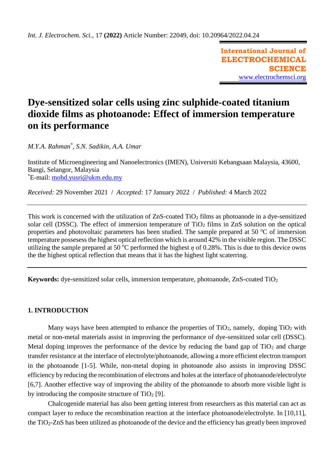**International Journal of ELECTROCHEMICAL SCIENCE** [www.electrochemsci.org](http://www.electrochemsci.org/)

# **Dye-sensitized solar cells using zinc sulphide-coated titanium dioxide films as photoanode: Effect of immersion temperature on its performance**

*M.Y.A. Rahman\* , S.N. Sadikin, A.A. Umar*

Institute of Microengineering and Nanoelectronics (IMEN), Universiti Kebangsaan Malaysia, 43600, Bangi, Selangor, Malaysia \*E-mail: [mohd.yusri@ukm.edu.my](mailto:mohd.yusri@ukm.edu.my)

*Received:* 29 November 2021/ *Accepted:* 17 January 2022 / *Published:* 4 March 2022

This work is concerned with the utilization of  $ZnS$ -coated  $TiO<sub>2</sub>$  films as photoanode in a dye-sensitized solar cell (DSSC). The effect of immersion temperature of  $TiO<sub>2</sub>$  films in ZnS solution on the optical properties and photovoltaic parameters has been studied. The sample prepared at 50  $\degree$ C of immersion temperature possesess the highest optical reflection which is around 42% in the visible region. The DSSC utilizing the sample prepared at 50 °C performed the highest  $\eta$  of 0.28%. This is due to this device owns the the highest optical reflection that means that it has the highest light scaterring.

**Keywords:** dye-sensitized solar cells, immersion temperature, photoanode, ZnS-coated TiO<sup>2</sup>

## **1. INTRODUCTION**

Many ways have been attempted to enhance the properties of  $TiO<sub>2</sub>$ , namely, doping  $TiO<sub>2</sub>$  with metal or non-metal materials assist in improving the performance of dye-sensitized solar cell (DSSC). Metal doping improves the performance of the device by reducing the band gap of  $TiO<sub>2</sub>$  and charge transfer resistance at the interface of electrolyte/photoanode, allowing a more efficient electron transport in the photoanode [1-5]. While, non-metal doping in photoanode also assists in improving DSSC efficiency by reducing the recombination of electrons and holes at the interface of photoanode/electrolyte [6,7]. Another effective way of improving the ability of the photoanode to absorb more visible light is by introducing the composite structure of  $TiO<sub>2</sub>$  [9].

Chalcogenide material has also been getting interest from researchers as this material can act as compact layer to reduce the recombination reaction at the interface photoanode/electrolyte. In [10,11], the TiO2-ZnS has been utilized as photoanode of the device and the efficiency has greatly been improved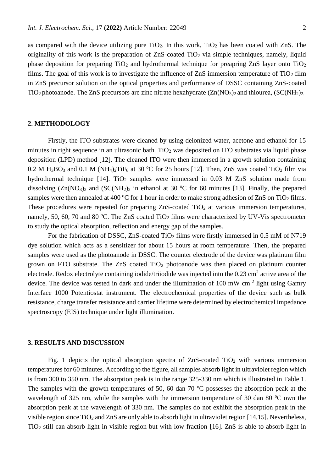as compared with the device utilizing pure  $TiO<sub>2</sub>$ . In this work,  $TiO<sub>2</sub>$  has been coated with ZnS. The originality of this work is the preparation of  $ZnS$ -coated  $TiO<sub>2</sub>$  via simple techniques, namely, liquid phase deposition for preparing  $TiO<sub>2</sub>$  and hydrothermal technique for preapring ZnS layer onto  $TiO<sub>2</sub>$ films. The goal of this work is to investigate the influence of  $ZnS$  immersion temperature of  $TiO<sub>2</sub> film$ in ZnS precursor solution on the optical properties and performance of DSSC containing ZnS-coated TiO<sub>2</sub> photoanode. The ZnS precursors are zinc nitrate hexahydrate  $(Zn(NO<sub>3</sub>)<sub>2</sub>$  and thiourea,  $(SC(NH<sub>2</sub>)<sub>2</sub>$ .

#### **2. METHODOLOGY**

Firstly, the ITO substrates were cleaned by using deionized water, acetone and ethanol for 15 minutes in right sequence in an ultrasonic bath.  $TiO<sub>2</sub>$  was deposited on ITO substrates via liquid phase deposition (LPD) method [12]. The cleaned ITO were then immersed in a growth solution containing 0.2 M H<sub>3</sub>BO<sub>3</sub> and 0.1 M (NH<sub>4</sub>)<sub>2</sub>TiF<sub>6</sub> at 30 °C for 25 hours [12]. Then, ZnS was coated TiO<sub>2</sub> film via hydrothermal technique  $[14]$ . TiO<sub>2</sub> samples were immersed in 0.03 M ZnS solution made from dissolving  $(Zn(NO_3))_2$  and  $(SC(NH_2))_2$  in ethanol at 30 °C for 60 minutes [13]. Finally, the prepared samples were then annealed at 400 °C for 1 hour in order to make strong adhesion of ZnS on TiO<sub>2</sub> films. These procedures were repeated for preparing  $ZnS$ -coated  $TiO<sub>2</sub>$  at various immersion temperatures, namely, 50, 60, 70 and 80 °C. The ZnS coated TiO<sub>2</sub> films were characterized by UV-Vis spectrometer to study the optical absorption, reflection and energy gap of the samples.

For the fabrication of DSSC, ZnS-coated  $TiO<sub>2</sub>$  films were firstly immersed in 0.5 mM of N719 dye solution which acts as a sensitizer for about 15 hours at room temperature. Then, the prepared samples were used as the photoanode in DSSC. The counter electrode of the device was platinum film grown on FTO substrate. The ZnS coated  $TiO<sub>2</sub>$  photoanode was then placed on platinum counter electrode. Redox electrolyte containing iodide/triiodide was injected into the  $0.23 \text{ cm}^2$  active area of the device. The device was tested in dark and under the illumination of 100 mW cm<sup>-2</sup> light using Gamry Interface 1000 Potentiostat instrument. The electrochemical properties of the device such as bulk resistance, charge transfer resistance and carrier lifetime were determined by electrochemical impedance spectroscopy (EIS) technique under light illumination.

#### **3. RESULTS AND DISCUSSION**

Fig. 1 depicts the optical absorption spectra of  $ZnS$ -coated  $TiO<sub>2</sub>$  with various immersion temperatures for 60 minutes. According to the figure, all samples absorb light in ultraviolet region which is from 300 to 350 nm. The absorption peak is in the range 325-330 nm which is illustrated in Table 1. The samples with the growth temperatures of 50, 60 dan 70  $\degree$ C possesses the absorption peak at the wavelength of 325 nm, while the samples with the immersion temperature of 30 dan 80  $^{\circ}$ C own the absorption peak at the wavelength of 330 nm. The samples do not exhibit the absorption peak in the visible region since  $TiO<sub>2</sub>$  and ZnS are only able to absorb light in ultraviolet region [14,15]. Nevertheless, TiO<sup>2</sup> still can absorb light in visible region but with low fraction [16]. ZnS is able to absorb light in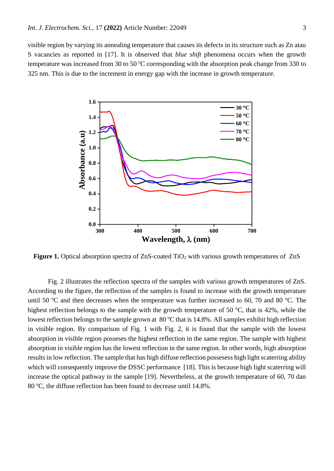visible region by varying its annealing temperature that causes its defects in its structure such as Zn atau S vacancies as reported in [17]. It is observed that *blue shift* phenomena occurs when the growth temperature was increased from 30 to 50  $\degree$ C corresponding with the absorption peak change from 330 to 325 nm. This is due to the increment in energy gap with the increase in growth temperature.



**Figure 1.** Optical absorption spectra of ZnS-coated TiO<sub>2</sub> with various growth temperatures of ZnS

Fig. 2 illustrates the reflection spectra of the samples with various growth temperatures of ZnS. According to the figure, the reflection of the samples is found to increase with the growth temperature until 50  $\degree$ C and then decreases when the temperature was further increased to 60, 70 and 80  $\degree$ C. The highest reflection belongs to the sample with the growth temperature of 50  $\degree$ C, that is 42%, while the lowest reflection belongs to the sample grown at  $80^{\circ}$ C that is 14.8%. All samples exhibit high reflection in visible region. By comparison of Fig. 1 with Fig. 2, it is found that the sample with the lowest absorption in visible region posseses the highest reflection in the same region. The sample with highest absorption in visible region has the lowest reflection in the same region. In other words, high absorption results in low reflection. The sample that has high diffuse reflection possesess high light scaterring ability which will consequently improve the DSSC performance [18]. This is because high light scaterring will increase the optical pathway in the sample [19]. Nevertheless, at the growth temperature of 60, 70 dan 80  $^{\circ}$ C, the diffuse reflection has been found to decrease until 14.8%.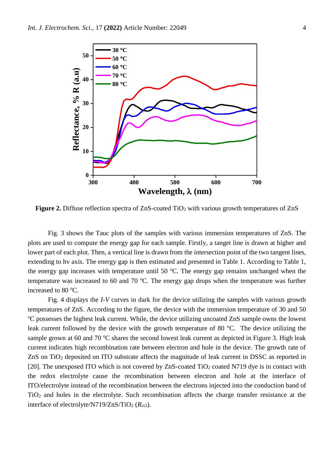

**Figure 2.** Diffuse reflection spectra of ZnS-coated TiO<sub>2</sub> with various growth temperatures of ZnS

Fig. 3 shows the Tauc plots of the samples with various immersion temperatures of ZnS. The plots are used to compute the energy gap for each sample. Firstly, a tanget line is drawn at higher and lower part of each plot. Then, a vertical line is drawn from the intersection point of the two tangent lines, extending to hv axis. The energy gap is then estimated and presented in Table 1. According to Table 1, the energy gap increases with temperature until 50  $^{\circ}$ C. The energy gap remains unchanged when the temperature was increased to 60 and 70  $^{\circ}$ C. The energy gap drops when the temperature was further increased to 80 °C.

Fig. 4 displays the *I-V* curves in dark for the device utilizing the samples with various growth temperatures of ZnS. According to the figure, the device with the immersion temperature of 30 and 50 <sup>o</sup>C possesses the highest leak current. While, the device utilizing uncoated ZnS sample owns the lowest leak current followed by the device with the growth temperature of 80  $^{\circ}$ C. The device utilizing the sample grown at 60 and 70  $\degree$ C shares the second lowest leak current as depicted in Figure 3. High leak current indicates high recombination rate between electron and hole in the device. The growth rate of ZnS on TiO<sup>2</sup> deposited on ITO substrate affects the magnitude of leak current in DSSC as reported in [20]. The unexposed ITO which is not covered by  $ZnS$ -coated TiO<sub>2</sub> coated N719 dye is in contact with the redox electrolyte cause the recombination between electron and hole at the interface of ITO/electrolyte instead of the recombination between the electrons injected into the conduction band of TiO<sup>2</sup> and holes in the electrolyte. Such recombination affects the charge transfer resistance at the interface of electrolyte/N719/ZnS/TiO<sub>2</sub> ( $R_{ct2}$ ).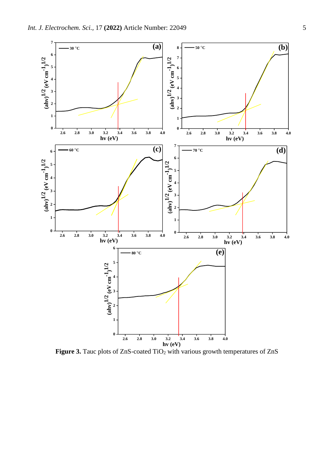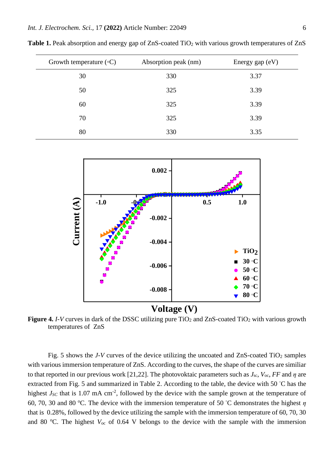| Growth temperature $({\circ}C)$ | Absorption peak (nm) | Energy gap (eV) |  |  |
|---------------------------------|----------------------|-----------------|--|--|
| 30                              | 330                  | 3.37            |  |  |
| 50                              | 325                  | 3.39            |  |  |
| 60                              | 325                  | 3.39            |  |  |
| 70                              | 325                  | 3.39            |  |  |
| 80                              | 330                  | 3.35            |  |  |

**Table 1.** Peak absorption and energy gap of ZnS-coated TiO<sub>2</sub> with various growth temperatures of ZnS



**Figure 4.** *I-V* curves in dark of the DSSC utilizing pure TiO<sub>2</sub> and ZnS-coated TiO<sub>2</sub> with various growth temperatures of ZnS

Fig. 5 shows the *J-V* curves of the device utilizing the uncoated and ZnS-coated TiO<sub>2</sub> samples with various immersion temperature of ZnS. According to the curves, the shape of the curves are similiar to that reported in our previous work [21,22]. The photovoktaic parameters such as  $J_{\rm sc}$ ,  $V_{\rm oc}$ ,  $FF$  and  $\eta$  are extracted from Fig. 5 and summarized in Table 2. According to the table, the device with 50 °C has the highest  $J_{SC}$  that is 1.07 mA cm<sup>-2</sup>, followed by the device with the sample grown at the temperature of 60, 70, 30 and 80 °C. The device with the immersion temperature of 50 °C demonstrates the highest *η* that is 0.28%, followed by the device utilizing the sample with the immersion temperature of 60, 70, 30 and 80  $^{\circ}$ C. The highest  $V_{\text{oc}}$  of 0.64 V belongs to the device with the sample with the immersion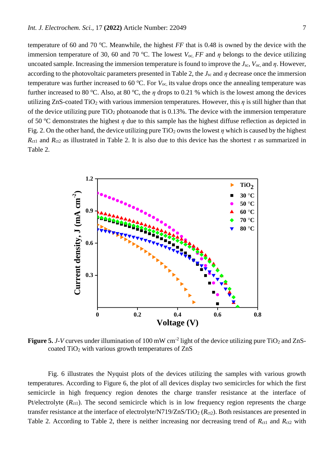temperature of 60 and 70  $\degree$ C. Meanwhile, the highest *FF* that is 0.48 is owned by the device with the immersion temperature of 30, 60 and 70 °C. The lowest  $V_{\text{oc}}$ , *FF* and  $\eta$  belongs to the device utilizing uncoated sample. Increasing the immersion temperature is found to improve the  $J_{\rm sc}$ ,  $V_{\rm oc}$  and  $\eta$ . However, according to the photovoltaic parameters presented in Table 2, the  $J_{\rm sc}$  and  $\eta$  decrease once the immersion temperature was further increased to 60  $\rm{^{\circ}C}$ . For  $V_{\rm oc}$  its value drops once the annealing temperature was further increased to 80 °C. Also, at 80 °C, the  $\eta$  drops to 0.21 % which is the lowest among the devices utilizing ZnS-coated TiO<sub>2</sub> with various immersion temperatures. However, this  $\eta$  is still higher than that of the device utilizing pure  $TiO<sub>2</sub>$  photoanode that is 0.13%. The device with the immersion temperature of 50 <sup>o</sup>C demonstrates the highest *η* due to this sample has the highest diffuse reflection as depicted in Fig. 2. On the other hand, the device utilizing pure  $TiO<sub>2</sub>$  owns the lowest  $\eta$  which is caused by the highest  $R_{\text{ct1}}$  and  $R_{\text{ct2}}$  as illustrated in Table 2. It is also due to this device has the shortest  $\tau$  as summarized in Table 2.



Figure 5. *J*-V curves under illumination of 100 mW cm<sup>-2</sup> light of the device utilizing pure TiO<sub>2</sub> and ZnScoated TiO<sub>2</sub> with various growth temperatures of ZnS

Fig. 6 illustrates the Nyquist plots of the devices utilizing the samples with various growth temperatures. According to Figure 6, the plot of all devices display two semicircles for which the first semicircle in high frequency region denotes the charge transfer resistance at the interface of Pt/electrolyte  $(R<sub>ct1</sub>)$ . The second semicircle which is in low frequency region represents the charge transfer resistance at the interface of electrolyte/N719/ZnS/TiO<sub>2</sub> ( $R_{ct2}$ ). Both resistances are presented in Table 2. According to Table 2, there is neither increasing nor decreasing trend of  $R_{ct1}$  and  $R_{ct2}$  with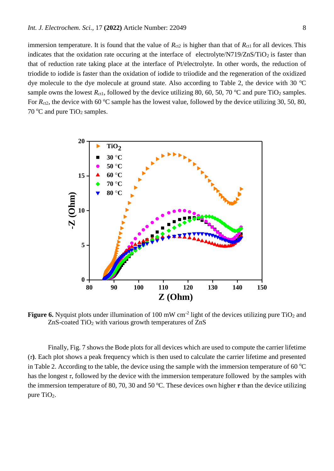immersion temperature. It is found that the value of  $R_{ct2}$  is higher than that of  $R_{ct1}$  for all devices. This indicates that the oxidation rate occuring at the interface of electrolyte/N719/ZnS/TiO<sub>2</sub> is faster than that of reduction rate taking place at the interface of Pt/electrolyte. In other words, the reduction of triodide to iodide is faster than the oxidation of iodide to triiodide and the regeneration of the oxidized dye molecule to the dye molecule at ground state. Also according to Table 2, the device with 30  $^{\circ}$ C sample owns the lowest  $R_{\text{ct1}}$ , followed by the device utilizing 80, 60, 50, 70 °C and pure TiO<sub>2</sub> samples. For  $R_{\text{ct2}}$ , the device with 60 °C sample has the lowest value, followed by the device utilizing 30, 50, 80, 70  $\rm{^{\circ}C}$  and pure TiO<sub>2</sub> samples.



**Figure 6.** Nyquist plots under illumination of 100 mW  $cm^{-2}$  light of the devices utilizing pure TiO<sub>2</sub> and ZnS-coated TiO<sub>2</sub> with various growth temperatures of ZnS

Finally, Fig. 7 shows the Bode plots for all devices which are used to compute the carrier lifetime (*τ***)**. Each plot shows a peak frequency which is then used to calculate the carrier lifetime and presented in Table 2. According to the table, the device using the sample with the immersion temperature of 60  $^{\circ}$ C has the longest  $\tau$ , followed by the device with the immersion temperature followed by the samples with the immersion temperature of 80, 70, 30 and 50 °C. These devices own higher  $\tau$  than the device utilizing pure  $TiO<sub>2</sub>$ .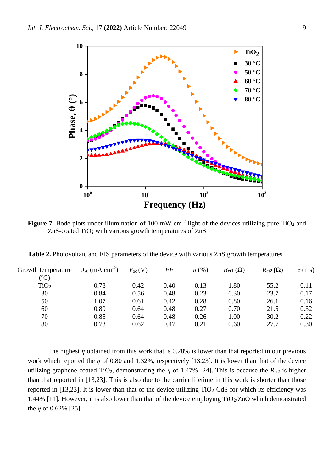

**Figure 7.** Bode plots under illumination of 100 mW  $cm^{-2}$  light of the devices utilizing pure TiO<sub>2</sub> and ZnS-coated TiO<sub>2</sub> with various growth temperatures of ZnS

| Growth temperature | $J_{\rm sc}$ (mA cm <sup>-2</sup> ) | $V_{oc}(V)$ | FF   | $\eta$ (%) | $R_{ct1}(\Omega)$ | $Rct2(\Omega)$ | $\tau$ (ms) |
|--------------------|-------------------------------------|-------------|------|------------|-------------------|----------------|-------------|
| $\rm ^{(o}C)$      |                                     |             |      |            |                   |                |             |
| TiO <sub>2</sub>   | 0.78                                | 0.42        | 0.40 | 0.13       | 1.80              | 55.2           | 0.11        |
| 30                 | 0.84                                | 0.56        | 0.48 | 0.23       | 0.30              | 23.7           | 0.17        |
| 50                 | 1.07                                | 0.61        | 0.42 | 0.28       | 0.80              | 26.1           | 0.16        |
| 60                 | 0.89                                | 0.64        | 0.48 | 0.27       | 0.70              | 21.5           | 0.32        |
| 70                 | 0.85                                | 0.64        | 0.48 | 0.26       | 1.00              | 30.2           | 0.22        |
| 80                 | 0.73                                | 0.62        | 0.47 | 0.21       | 0.60              | 27.7           | 0.30        |

**Table 2.** Photovoltaic and EIS parameters of the device with various ZnS growth temperatures

The highest  $\eta$  obtained from this work that is 0.28% is lower than that reported in our previous work which reported the *η* of 0.80 and 1.32%, respectively [13,23]. It is lower than that of the device utilizing graphene-coated TiO<sub>2</sub>, demonstrating the  $\eta$  of 1.47% [24]. This is because the  $R_{ct2}$  is higher than that reported in [13,23]. This is also due to the carrier lifetime in this work is shorter than those reported in [13,23]. It is lower than that of the device utilizing  $TiO<sub>2</sub>-CdS$  for which its efficiency was 1.44% [11]. However, it is also lower than that of the device employing  $TiO<sub>2</sub>/ZnO$  which demonstrated the  $\eta$  of 0.62% [25].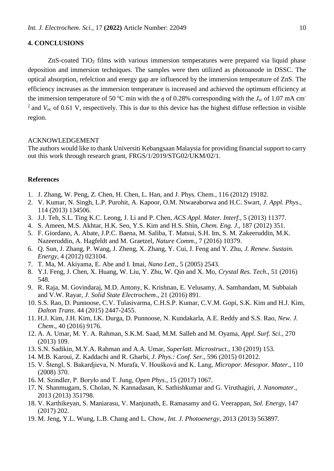# **4. CONCLUSIONS**

 $ZnS$ -coated TiO<sub>2</sub> films with various immersion temperatures were prepared via liquid phase deposition and immersion techniques. The samples were then utilized as photoanode in DSSC. The optical absorption, refelction and energy gap are influenced by the immersion temperature of ZnS. The efficiency increases as the immersion temperature is increased and achieved the optimum efficiency at the immersion temperature of 50 °C min with the  $\eta$  of 0.28% corresponding with the  $J_{\rm sc}$  of 1.07 mA cm<sup>-</sup> <sup>2</sup> and  $V_{\text{oc}}$  of 0.61 V, respectively. This is due to this device has the highest diffuse reflection in visible region.

## ACKNOWLEDGEMENT

The authors would like to thank Universiti Kebangsaan Malaysia for providing financial support to carry out this work through research grant, FRGS/1/2019/STG02/UKM/02/1.

### **References**

- 1. J. Zhang, W. Peng, Z. Chen, H. Chen, L. Han, and J. Phys. Chem., 116 (2012) 19182.
- 2. V. Kumar, N. Singh, L.P. Purohit, A. Kapoor, O.M. Ntwaeaborwa and H.C. Swart, *J. Appl. Phys*., 114 (2013) 134506.
- 3. J.J. Teh, S.L. Ting K.C. Leong, J. Li and P. Chen, *ACS Appl. Mater. Interf*., 5 (2013) 11377.
- 4. S. Ameen, M.S. Akhtar, H.K. Seo, Y.S. Kim and H.S. Shin, *Chem. Eng. J*., 187 (2012) 351.
- 5. F. Giordano, A. Abate, J.P.C. Baena, M. Saliba, T. Matsui, S.H. Im, S. M. Zakeeruddin, M.K. Nazeeruddin, A. Hagfeldt and M. Graetzel, *Nature Comm*., 7 (2016) 10379.
- 6. Q. Sun, J. Zhang, P. Wang, J. Zheng, X. Zhang, Y. Cui, J. Feng and Y. Zhu, *J. Renew. Sustain. Energy*, 4 (2012) 023104.
- 7. T. Ma, M. Akiyama, E. Abe and I. Imai, *Nano Lett*., 5 (2005) 2543.
- 8. Y.I. Feng, J. Chen, X. Huang, W. Liu, Y. Zhu, W. Qin and X. Mo, *Crystal Res. Tech*., 51 (2016) 548.
- 9. R. Raja, M. Govindaraj, M.D. Antony, K. Krishnan, E. Velusamy, A. Sambandam, M. Subbaiah and V.W. Rayar, *J. Solid State Electrochem*., 21 (2016) 891.
- 10. S.S. Rao, D. Punnoose, C.V. Tulasivarma, C.H.S.P. Kumar, C.V.M. Gopi, S.K. Kim and H.J. Kim, *Dalton Trans*. 44 (2015) 2447-2455.
- 11. H.J. Kim, J.H. Kim, I.K. Durga, D. Punnoose, N. Kundakarla, A.E. Reddy and S.S. Rao, *New. J. Chem*., 40 (2016) 9176.
- 12. A. A. Umar, M. Y. A. Rahman, S.K.M. Saad, M.M. Salleh and M. Oyama, *Appl. Surf. Sci*., 270 (2013) 109.
- 13. S.N. Sadikin, M.Y.A. Rahman and A.A. Umar, *Superlatt. Microstruct*., 130 (2019) 153.
- 14. M.B. Karoui, Z. Kaddachi and R. Gharbi, *J. Phys.: Conf. Ser*., 596 (2015) 012012.
- 15. V. Štengl, S. Bakardjieva, N. Murafa, V. Houšková and K. Lang, *[Micropor. Mesopor. Mater](https://www.sciencedirect.com/science/journal/13871811)*., [110](https://www.sciencedirect.com/science/journal/13871811/110/2)  (2008) 370.
- 16. M. Szindler, P. Boryło and T. Jung, *Open Phys*., 15 (2017) 1067.
- 17. N. Shanmugam, S. Cholan, N. Kannadasan, K. Sathishkumar and G. Viruthagiri, *J. Nanomater*., 2013 (2013) 351798.
- 18. V. Karthikeyan, S. Maniarasu, V. Manjunath, E. Ramasamy and G. Veerappan, *Sol. Energy*, 147 (2017) 202.
- 19. M. Jeng, Y.L. Wung, L.B. Chang and L. Chow, *Int. J. Photoenergy*, 2013 (2013) 563897.